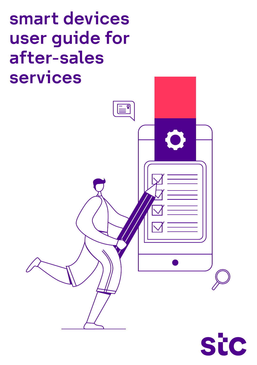# smart devices user guide for after-sales services

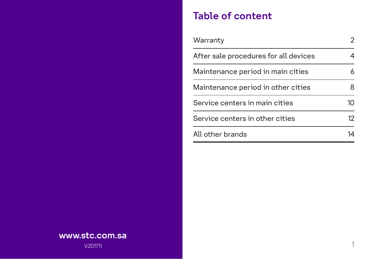#### Table of content

| Warranty                              | 2  |
|---------------------------------------|----|
| After sale procedures for all devices |    |
| Maintenance period in main cities     | 6  |
| Maintenance period in other cities    | 8  |
| Service centers in main cities        | 10 |
| Service centers in other cities       | 12 |
| All other brands                      | 14 |

#### www.stc.com.sa

V.201711 1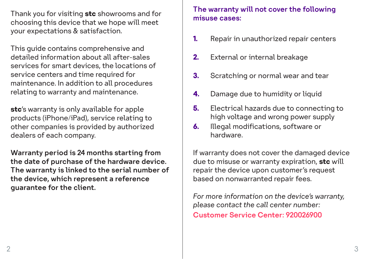Thank you for visiting **stc** showrooms and for **the misuse cases:** choosing this device that we hope will meet your expectations & satisfaction.

This guide contains comprehensive and detailed information about all after-sales services for smart devices, the locations of service centers and time required for maintenance. In addition to all procedures relating to warranty and maintenance.

**stc**'s warranty is only available for apple products (iPhone/iPad), service relating to other companies is provided by authorized dealers of each company.

Warranty period is 24 months starting from the date of purchase of the hardware device. The warranty is linked to the serial number of the device, which represent a reference guarantee for the client.

# The warranty will not cover the following

- **1.** Repair in unauthorized repair centers
- **2.** External or internal breakage
- **3.** Scratching or normal wear and tear
- **4.** Damage due to humidity or liquid
- Electrical hazards due to connecting to high voltage and wrong power supply **5.**
- Illegal modifications, software or hardware. **6.**

If warranty does not cover the damaged device due to misuse or warranty expiration, **stc** will repair the device upon customer's request based on nonwarranted repair fees.

*For more information on the device's warranty, please contact the call center number:*

Customer Service Center: 920026900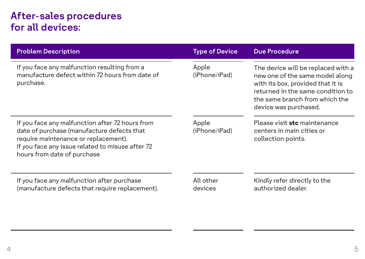#### After-sales procedures for all devices:

| <b>Problem Description</b>                                                                                   | <b>Type of Device</b>        | <b>Due Procedure</b>                                                                                                                                                                                       |
|--------------------------------------------------------------------------------------------------------------|------------------------------|------------------------------------------------------------------------------------------------------------------------------------------------------------------------------------------------------------|
| If you face any malfunction resulting from a<br>manufacture defect within 72 hours from date of<br>purchase. | Apple<br>(iPhone/iPad)       | The device will be replaced with a<br>new one of the same model along<br>with its box, provided that it is<br>returned in the same condition to<br>the same branch from which the<br>device was purchased. |
| If you face any malfunction after 72 hours from                                                              | Please visit stc maintenance |                                                                                                                                                                                                            |
| date of purchase (manufacture defects that                                                                   | Apple                        |                                                                                                                                                                                                            |
| require maintenance or replacement).                                                                         | (iPhone/iPad)                |                                                                                                                                                                                                            |
| If you face any issue related to misuse after 72                                                             | centers in main cities or    |                                                                                                                                                                                                            |
| hours from date of purchase                                                                                  | collection points.           |                                                                                                                                                                                                            |
| If you face any malfunction after purchase                                                                   | All other                    | Kindly refer directly to the                                                                                                                                                                               |
| (manufacture defects that require replacement).                                                              | devices                      | authorized dealer.                                                                                                                                                                                         |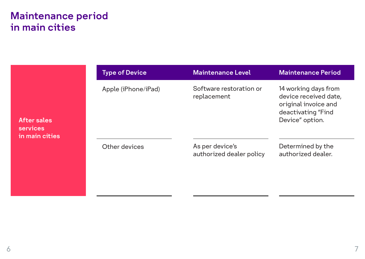#### Maintenance period in main cities

|                                | <b>Type of Device</b> | <b>Maintenance Level</b>                    | <b>Maintenance Period</b>                                                                                      |
|--------------------------------|-----------------------|---------------------------------------------|----------------------------------------------------------------------------------------------------------------|
| After sales<br><b>services</b> | Apple (iPhone/iPad)   | Software restoration or<br>replacement      | 14 working days from<br>device received date,<br>original invoice and<br>deactivating "Find<br>Device" option. |
| in main cities                 | Other devices         | As per device's<br>authorized dealer policy | Determined by the<br>authorized dealer.                                                                        |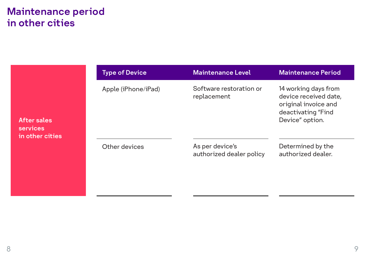#### Maintenance period in other cities

|                                            | <b>Type of Device</b> | Maintenance Level                           | <b>Maintenance Period</b>                                                                                      |
|--------------------------------------------|-----------------------|---------------------------------------------|----------------------------------------------------------------------------------------------------------------|
| After sales<br>services<br>in other cities | Apple (iPhone/iPad)   | Software restoration or<br>replacement      | 14 working days from<br>device received date,<br>original invoice and<br>deactivating "Find<br>Device" option. |
|                                            | Other devices         | As per device's<br>authorized dealer policy | Determined by the<br>authorized dealer.                                                                        |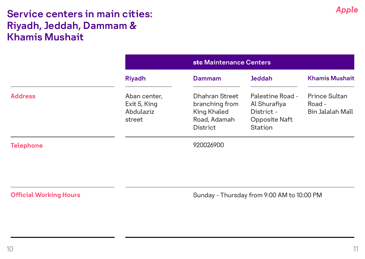#### Service centers in main cities: Riyadh, Jeddah, Dammam & Khamis Mushait

|                  |                                                     | stc Maintenance Centers                                                     |                                                                            |                                             |
|------------------|-----------------------------------------------------|-----------------------------------------------------------------------------|----------------------------------------------------------------------------|---------------------------------------------|
|                  | Riyadh                                              | Dammam                                                                      | <b>Jeddah</b>                                                              | <b>Khamis Mushait</b>                       |
| <b>Address</b>   | Aban center.<br>Exit 5, King<br>Abdulaziz<br>street | Dhahran Street<br>branching from<br>King Khaled<br>Road, Adamah<br>District | Palestine Road -<br>Al Shurafiya<br>District -<br>Opposite Naft<br>Station | Prince Sultan<br>Road -<br>Bin Jalalah Mall |
| <b>Telephone</b> |                                                     | 920026900                                                                   |                                                                            |                                             |

**Official Working Hours** 

Sunday - Thursday from 9:00 AM to 10:00 PM

*Apple*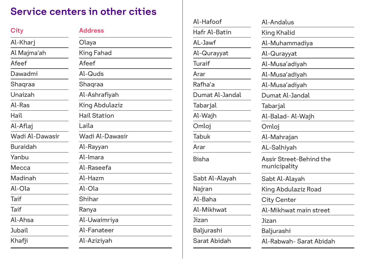## Service centers in other cities

| City            | <b>Address</b>  |
|-----------------|-----------------|
| Al-Khari        | Olaya           |
| Al Majma'ah     | King Fahad      |
| Afeef           | Afeef           |
| Dawadmi         | Al-Quds         |
| Shaqraa         | Shaqraa         |
| Unaizah         | Al-Ashrafiyah   |
| Al-Ras          | King Abdulaziz  |
| Hail            | Hail Station    |
| Al-Aflaj        | Laila           |
| Wadi Al-Dawasir | Wadi Al-Dawasir |
| Buraidah        | Al-Rayyan       |
| Yanbu           | Al-Imara        |
| Mecca           | Al-Raseefa      |
| Madinah         | Al-Hazm         |
| $Al-Ola$        | $Al-Ola$        |
| Taif            | Shihar          |
| Taif            | Ranya           |
| Al-Ahsa         | Al-Uwaimriya    |
| Jubail          | Al-Fanateer     |
| Khafji          | Al-Aziziyah     |

| Al-Andalus                              |
|-----------------------------------------|
| King Khalid                             |
| Al-Muhammadiya                          |
| Al-Qurayyat                             |
| Al-Musa'adiyah                          |
| Al-Musa'adiyah                          |
| Al-Musa'adiyah                          |
| Dumat Al-Jandal                         |
| Tabarjal                                |
| Al-Balad- Al-Waih                       |
| Omloj                                   |
| Al-Mahrajan                             |
| AL-Salhiyah                             |
| Assir Street-Behind the<br>municipality |
| Sabt Al-Alayah                          |
| King Abdulaziz Road                     |
| City Center                             |
| Al-Mikhwat main street                  |
| Jizan                                   |
| Baljurashi                              |
| Al-Rabwah- Sarat Abidah                 |
|                                         |